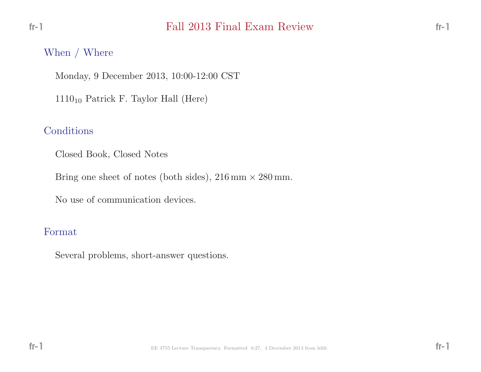## Fall <sup>2013</sup> Final Exam Review

#### When / Where

Monday, <sup>9</sup> December 2013, 10:00-12:00 CST

 $1110_{10}$  Patrick F. Taylor Hall (Here)

### Conditions

Closed Book, Closed Notes

Bring one sheet of notes (both sides),  $216 \text{ mm} \times 280 \text{ mm}$ .

No use of communication devices.

#### Format

Several problems, short-answer questions.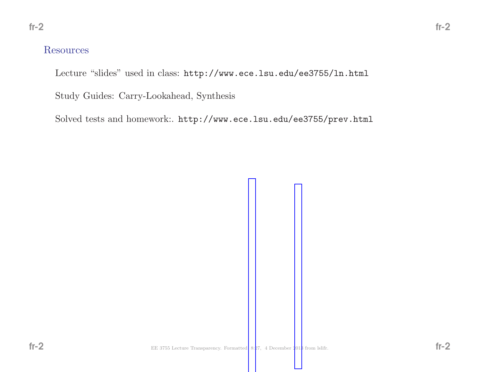Lecture "slides" used in class: http://www.ece.lsu.edu/ee3755/ln.html

Study Guides: Carry-Lookahead, Synthesis

Solved tests and homework:. http://www.ece.lsu.edu/ee3755/prev.html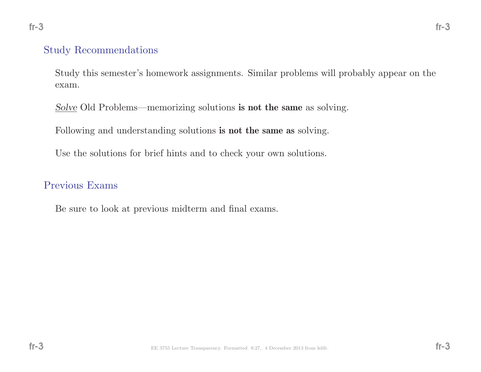### Study Recommendations

Study this semester's homework assignments. Similar problems will probably appear on theexam.

 $Solve$  Old Problems—memorizing solutions **is not the same** as solving.

Following and understanding solutions **is not the same as** solving.

Use the solutions for brief hints and to check your own solutions.

#### Previous Exams

Be sure to look at previous midterm and final exams.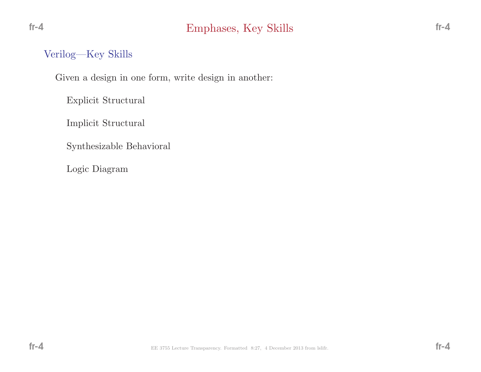## Verilog—Key Skills

 $fr-4$ 

Given <sup>a</sup> design in one form, write design in another:

Explicit Structural

Implicit Structural

Synthesizable Behavioral

Logic Diagram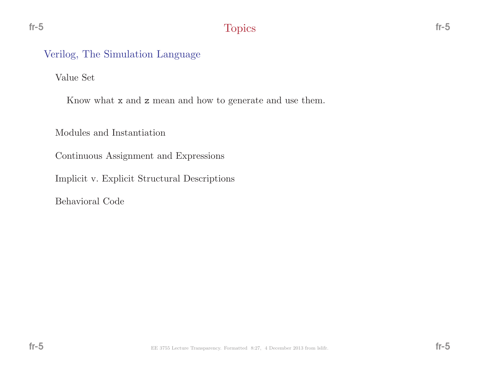# Verilog, The Simulation Language

Value Set

Know what **x** and **z** mean and how to generate and use them.

Modules and Instantiation

Continuous Assignment and Expressions

Implicit v. Explicit Structural Descriptions

Behavioral Code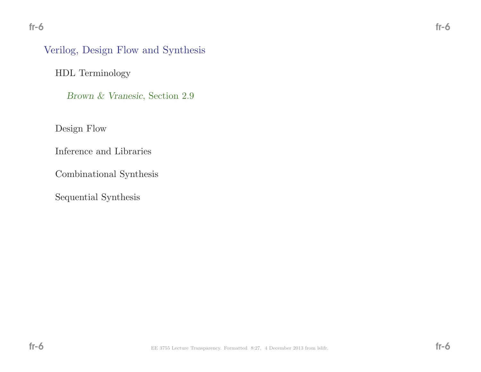# Verilog, Design Flow and Synthesis

HDL Terminology

Brown & Vranesic, Section 2.9

Design Flow

Inference and Libraries

Combinational Synthesis

Sequential Synthesis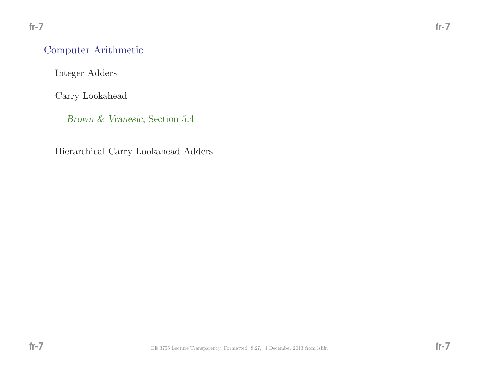## Computer Arithmetic

Integer Adders

Carry Lookahead

Brown & Vranesic, Section 5.4

Hierarchical Carry Lookahead Adders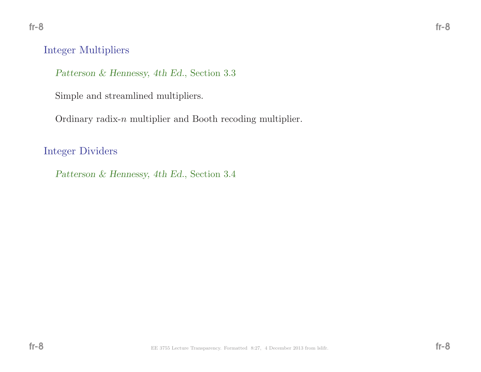## Integer Multipliers

Patterson & Hennessy, 4th Ed., Section 3.3

Simple and streamlined multipliers.

Ordinary radix-n multiplier and Booth recoding multiplier.

Integer Dividers

Patterson & Hennessy, 4th Ed., Section 3.4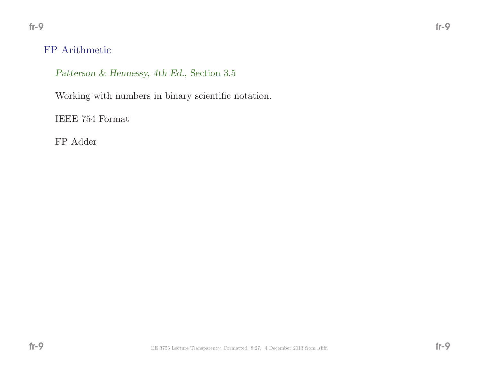# FP Arithmetic

Patterson & Hennessy, 4th Ed., Section 3.5

Working with numbers in binary scientific notation.

IEEE <sup>754</sup> Format

FP Adder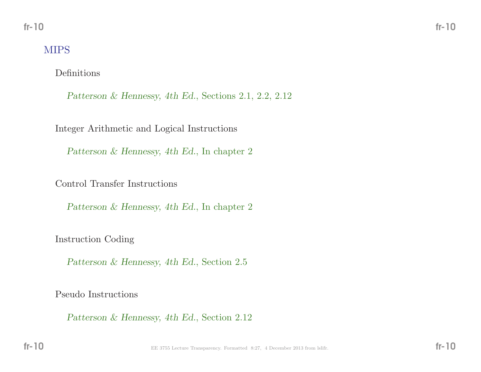# MIPS

Definitions

Patterson & Hennessy, 4th Ed., Sections 2.1, 2.2, 2.12

Integer Arithmetic and Logical Instructions

Patterson & Hennessy, 4th Ed., In chapter 2

Control Transfer Instructions

Patterson & Hennessy, 4th Ed., In chapter 2

Instruction Coding

Patterson & Hennessy, 4th Ed., Section 2.5

Pseudo Instructions

Patterson & Hennessy, 4th Ed., Section 2.12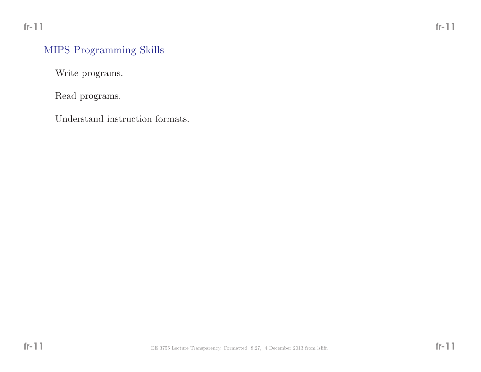Write programs.

Read programs.

Understand instruction formats.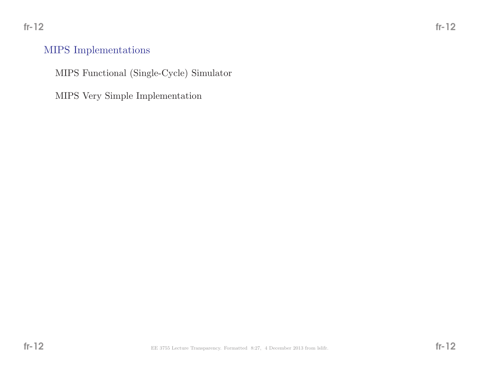## MIPS Implementations

MIPS Functional (Single-Cycle) Simulator

MIPS Very Simple Implementation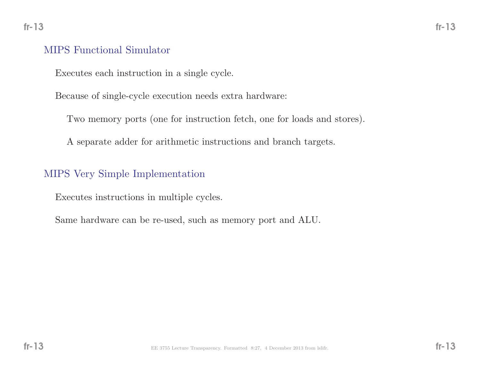### MIPS Functional Simulator

Executes each instruction in <sup>a</sup> single cycle.

Because of single-cycle execution needs extra hardware:

Two memory ports (one for instruction fetch, one for loads and stores).

<sup>A</sup> separate adder for arithmetic instructions and branch targets.

### MIPS Very Simple Implementation

Executes instructions in multiple cycles.

Same hardware can be re-used, such as memory port and ALU.